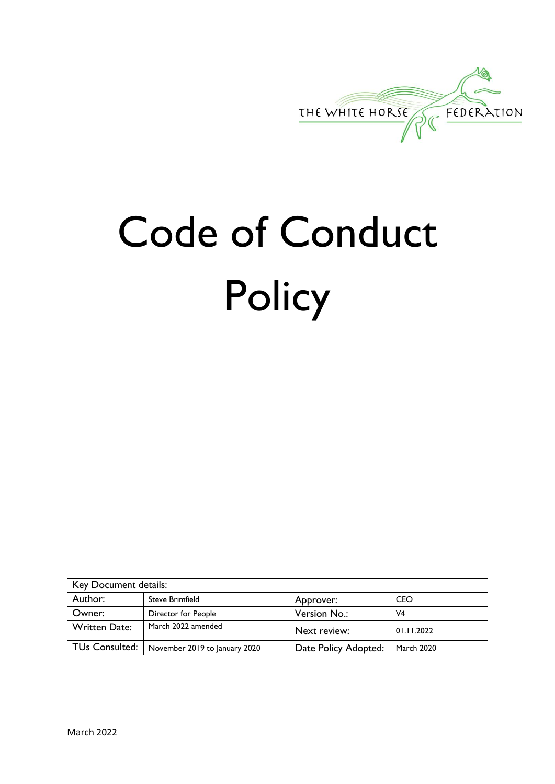

# Code of Conduct **Policy**

| Key Document details: |                               |                      |                   |
|-----------------------|-------------------------------|----------------------|-------------------|
| Author:               | <b>Steve Brimfield</b>        | Approver:            | <b>CEO</b>        |
| Owner:                | Director for People           | Version No.:         | V <sub>4</sub>    |
| <b>Written Date:</b>  | March 2022 amended            | Next review:         | 01.11.2022        |
| TUs Consulted:        | November 2019 to January 2020 | Date Policy Adopted: | <b>March 2020</b> |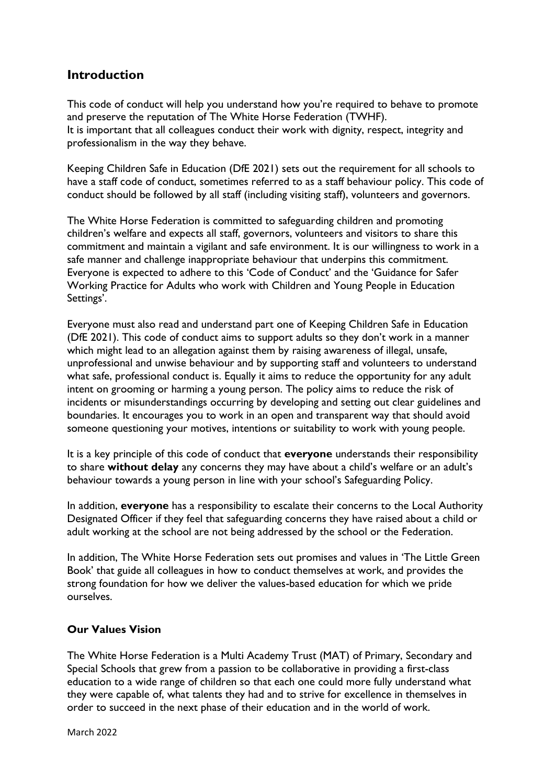# **Introduction**

This code of conduct will help you understand how you're required to behave to promote and preserve the reputation of The White Horse Federation (TWHF). It is important that all colleagues conduct their work with dignity, respect, integrity and professionalism in the way they behave.

Keeping Children Safe in Education (DfE 2021) sets out the requirement for all schools to have a staff code of conduct, sometimes referred to as a staff behaviour policy. This code of conduct should be followed by all staff (including visiting staff), volunteers and governors.

The White Horse Federation is committed to safeguarding children and promoting children's welfare and expects all staff, governors, volunteers and visitors to share this commitment and maintain a vigilant and safe environment. It is our willingness to work in a safe manner and challenge inappropriate behaviour that underpins this commitment. Everyone is expected to adhere to this 'Code of Conduct' and the 'Guidance for Safer Working Practice for Adults who work with Children and Young People in Education Settings'.

Everyone must also read and understand part one of Keeping Children Safe in Education (DfE 2021). This code of conduct aims to support adults so they don't work in a manner which might lead to an allegation against them by raising awareness of illegal, unsafe, unprofessional and unwise behaviour and by supporting staff and volunteers to understand what safe, professional conduct is. Equally it aims to reduce the opportunity for any adult intent on grooming or harming a young person. The policy aims to reduce the risk of incidents or misunderstandings occurring by developing and setting out clear guidelines and boundaries. It encourages you to work in an open and transparent way that should avoid someone questioning your motives, intentions or suitability to work with young people.

It is a key principle of this code of conduct that **everyone** understands their responsibility to share **without delay** any concerns they may have about a child's welfare or an adult's behaviour towards a young person in line with your school's Safeguarding Policy.

In addition, **everyone** has a responsibility to escalate their concerns to the Local Authority Designated Officer if they feel that safeguarding concerns they have raised about a child or adult working at the school are not being addressed by the school or the Federation.

In addition, The White Horse Federation sets out promises and values in 'The Little Green Book' that guide all colleagues in how to conduct themselves at work, and provides the strong foundation for how we deliver the values-based education for which we pride ourselves.

## **Our Values Vision**

The White Horse Federation is a Multi Academy Trust (MAT) of Primary, Secondary and Special Schools that grew from a passion to be collaborative in providing a first-class education to a wide range of children so that each one could more fully understand what they were capable of, what talents they had and to strive for excellence in themselves in order to succeed in the next phase of their education and in the world of work.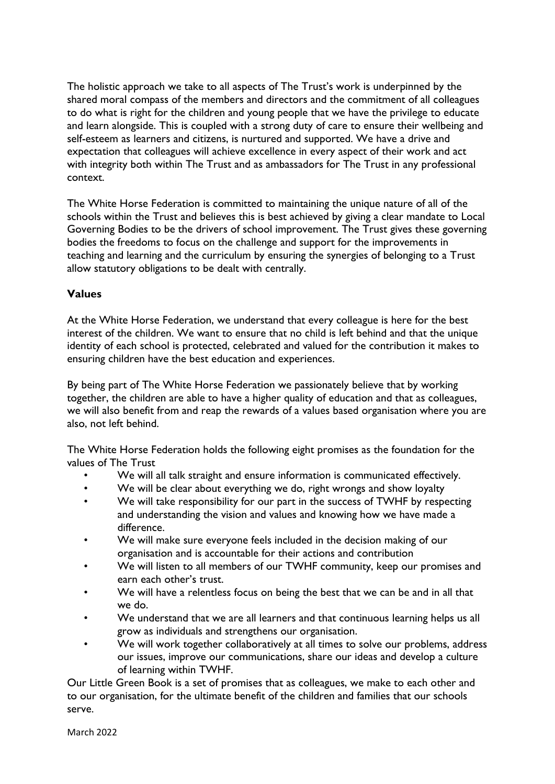The holistic approach we take to all aspects of The Trust's work is underpinned by the shared moral compass of the members and directors and the commitment of all colleagues to do what is right for the children and young people that we have the privilege to educate and learn alongside. This is coupled with a strong duty of care to ensure their wellbeing and self-esteem as learners and citizens, is nurtured and supported. We have a drive and expectation that colleagues will achieve excellence in every aspect of their work and act with integrity both within The Trust and as ambassadors for The Trust in any professional context.

The White Horse Federation is committed to maintaining the unique nature of all of the schools within the Trust and believes this is best achieved by giving a clear mandate to Local Governing Bodies to be the drivers of school improvement. The Trust gives these governing bodies the freedoms to focus on the challenge and support for the improvements in teaching and learning and the curriculum by ensuring the synergies of belonging to a Trust allow statutory obligations to be dealt with centrally.

## **Values**

At the White Horse Federation, we understand that every colleague is here for the best interest of the children. We want to ensure that no child is left behind and that the unique identity of each school is protected, celebrated and valued for the contribution it makes to ensuring children have the best education and experiences.

By being part of The White Horse Federation we passionately believe that by working together, the children are able to have a higher quality of education and that as colleagues, we will also benefit from and reap the rewards of a values based organisation where you are also, not left behind.

The White Horse Federation holds the following eight promises as the foundation for the values of The Trust

- We will all talk straight and ensure information is communicated effectively.
- We will be clear about everything we do, right wrongs and show loyalty
- We will take responsibility for our part in the success of TWHF by respecting and understanding the vision and values and knowing how we have made a difference.
- We will make sure everyone feels included in the decision making of our organisation and is accountable for their actions and contribution
- We will listen to all members of our TWHF community, keep our promises and earn each other's trust.
- We will have a relentless focus on being the best that we can be and in all that we do.
- We understand that we are all learners and that continuous learning helps us all grow as individuals and strengthens our organisation.
- We will work together collaboratively at all times to solve our problems, address our issues, improve our communications, share our ideas and develop a culture of learning within TWHF.

Our Little Green Book is a set of promises that as colleagues, we make to each other and to our organisation, for the ultimate benefit of the children and families that our schools serve.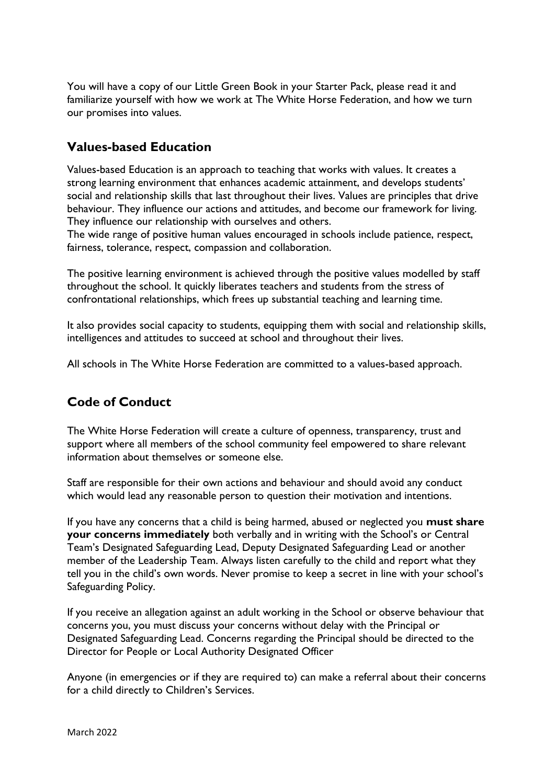You will have a copy of our Little Green Book in your Starter Pack, please read it and familiarize yourself with how we work at The White Horse Federation, and how we turn our promises into values.

# **Values-based Education**

Values-based Education is an approach to teaching that works with values. It creates a strong learning environment that enhances academic attainment, and develops students' social and relationship skills that last throughout their lives. Values are principles that drive behaviour. They influence our actions and attitudes, and become our framework for living. They influence our relationship with ourselves and others.

The wide range of positive human values encouraged in schools include patience, respect, fairness, tolerance, respect, compassion and collaboration.

The positive learning environment is achieved through the positive values modelled by staff throughout the school. It quickly liberates teachers and students from the stress of confrontational relationships, which frees up substantial teaching and learning time.

It also provides social capacity to students, equipping them with social and relationship skills, intelligences and attitudes to succeed at school and throughout their lives.

All schools in The White Horse Federation are committed to a values-based approach.

# **Code of Conduct**

The White Horse Federation will create a culture of openness, transparency, trust and support where all members of the school community feel empowered to share relevant information about themselves or someone else.

Staff are responsible for their own actions and behaviour and should avoid any conduct which would lead any reasonable person to question their motivation and intentions.

If you have any concerns that a child is being harmed, abused or neglected you **must share your concerns immediately** both verbally and in writing with the School's or Central Team's Designated Safeguarding Lead, Deputy Designated Safeguarding Lead or another member of the Leadership Team. Always listen carefully to the child and report what they tell you in the child's own words. Never promise to keep a secret in line with your school's Safeguarding Policy.

If you receive an allegation against an adult working in the School or observe behaviour that concerns you, you must discuss your concerns without delay with the Principal or Designated Safeguarding Lead. Concerns regarding the Principal should be directed to the Director for People or Local Authority Designated Officer

Anyone (in emergencies or if they are required to) can make a referral about their concerns for a child directly to Children's Services.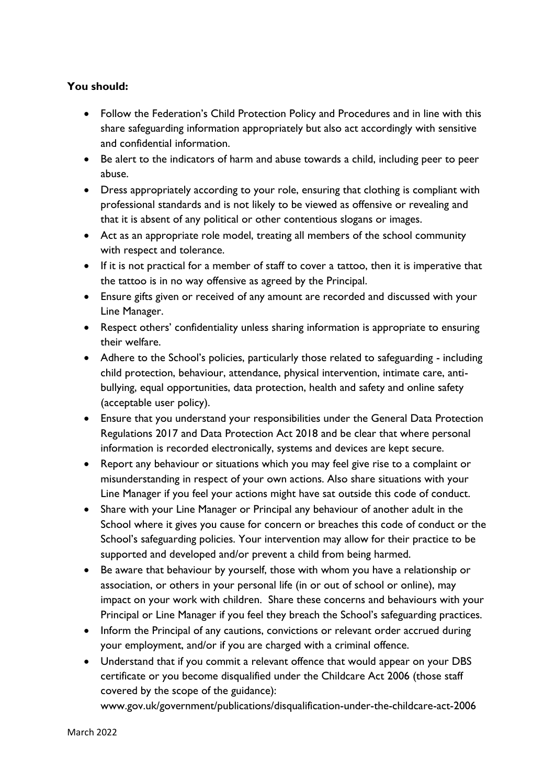## **You should:**

- Follow the Federation's Child Protection Policy and Procedures and in line with this share safeguarding information appropriately but also act accordingly with sensitive and confidential information.
- Be alert to the indicators of harm and abuse towards a child, including peer to peer abuse.
- Dress appropriately according to your role, ensuring that clothing is compliant with professional standards and is not likely to be viewed as offensive or revealing and that it is absent of any political or other contentious slogans or images.
- Act as an appropriate role model, treating all members of the school community with respect and tolerance.
- If it is not practical for a member of staff to cover a tattoo, then it is imperative that the tattoo is in no way offensive as agreed by the Principal.
- Ensure gifts given or received of any amount are recorded and discussed with your Line Manager.
- Respect others' confidentiality unless sharing information is appropriate to ensuring their welfare.
- Adhere to the School's policies, particularly those related to safeguarding including child protection, behaviour, attendance, physical intervention, intimate care, antibullying, equal opportunities, data protection, health and safety and online safety (acceptable user policy).
- Ensure that you understand your responsibilities under the General Data Protection Regulations 2017 and Data Protection Act 2018 and be clear that where personal information is recorded electronically, systems and devices are kept secure.
- Report any behaviour or situations which you may feel give rise to a complaint or misunderstanding in respect of your own actions. Also share situations with your Line Manager if you feel your actions might have sat outside this code of conduct.
- Share with your Line Manager or Principal any behaviour of another adult in the School where it gives you cause for concern or breaches this code of conduct or the School's safeguarding policies. Your intervention may allow for their practice to be supported and developed and/or prevent a child from being harmed.
- Be aware that behaviour by yourself, those with whom you have a relationship or association, or others in your personal life (in or out of school or online), may impact on your work with children. Share these concerns and behaviours with your Principal or Line Manager if you feel they breach the School's safeguarding practices.
- Inform the Principal of any cautions, convictions or relevant order accrued during your employment, and/or if you are charged with a criminal offence.
- Understand that if you commit a relevant offence that would appear on your DBS certificate or you become disqualified under the Childcare Act 2006 (those staff covered by the scope of the guidance):

www.gov.uk/government/publications/disqualification-under-the-childcare-act-2006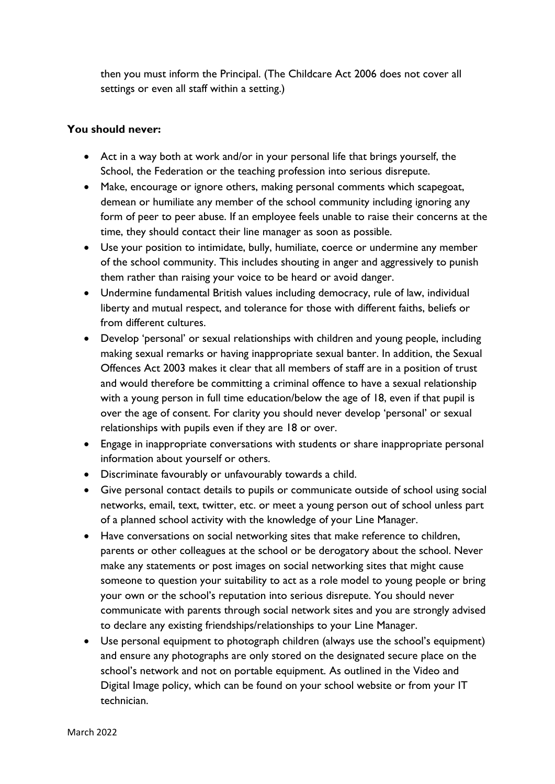then you must inform the Principal. (The Childcare Act 2006 does not cover all settings or even all staff within a setting.)

## **You should never:**

- Act in a way both at work and/or in your personal life that brings yourself, the School, the Federation or the teaching profession into serious disrepute.
- Make, encourage or ignore others, making personal comments which scapegoat, demean or humiliate any member of the school community including ignoring any form of peer to peer abuse. If an employee feels unable to raise their concerns at the time, they should contact their line manager as soon as possible.
- Use your position to intimidate, bully, humiliate, coerce or undermine any member of the school community. This includes shouting in anger and aggressively to punish them rather than raising your voice to be heard or avoid danger.
- Undermine fundamental British values including democracy, rule of law, individual liberty and mutual respect, and tolerance for those with different faiths, beliefs or from different cultures.
- Develop 'personal' or sexual relationships with children and young people, including making sexual remarks or having inappropriate sexual banter. In addition, the Sexual Offences Act 2003 makes it clear that all members of staff are in a position of trust and would therefore be committing a criminal offence to have a sexual relationship with a young person in full time education/below the age of 18, even if that pupil is over the age of consent. For clarity you should never develop 'personal' or sexual relationships with pupils even if they are 18 or over.
- Engage in inappropriate conversations with students or share inappropriate personal information about yourself or others.
- Discriminate favourably or unfavourably towards a child.
- Give personal contact details to pupils or communicate outside of school using social networks, email, text, twitter, etc. or meet a young person out of school unless part of a planned school activity with the knowledge of your Line Manager.
- Have conversations on social networking sites that make reference to children, parents or other colleagues at the school or be derogatory about the school. Never make any statements or post images on social networking sites that might cause someone to question your suitability to act as a role model to young people or bring your own or the school's reputation into serious disrepute. You should never communicate with parents through social network sites and you are strongly advised to declare any existing friendships/relationships to your Line Manager.
- Use personal equipment to photograph children (always use the school's equipment) and ensure any photographs are only stored on the designated secure place on the school's network and not on portable equipment. As outlined in the Video and Digital Image policy, which can be found on your school website or from your IT technician.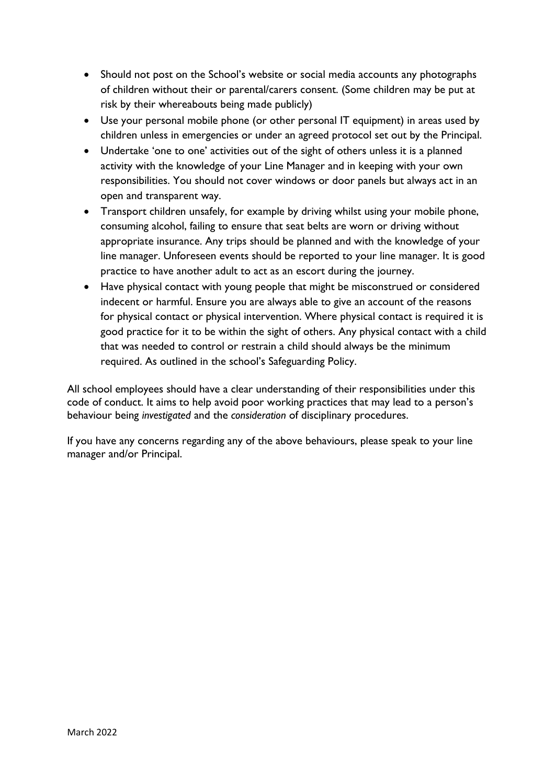- Should not post on the School's website or social media accounts any photographs of children without their or parental/carers consent. (Some children may be put at risk by their whereabouts being made publicly)
- Use your personal mobile phone (or other personal IT equipment) in areas used by children unless in emergencies or under an agreed protocol set out by the Principal.
- Undertake 'one to one' activities out of the sight of others unless it is a planned activity with the knowledge of your Line Manager and in keeping with your own responsibilities. You should not cover windows or door panels but always act in an open and transparent way.
- Transport children unsafely, for example by driving whilst using your mobile phone, consuming alcohol, failing to ensure that seat belts are worn or driving without appropriate insurance. Any trips should be planned and with the knowledge of your line manager. Unforeseen events should be reported to your line manager. It is good practice to have another adult to act as an escort during the journey.
- Have physical contact with young people that might be misconstrued or considered indecent or harmful. Ensure you are always able to give an account of the reasons for physical contact or physical intervention. Where physical contact is required it is good practice for it to be within the sight of others. Any physical contact with a child that was needed to control or restrain a child should always be the minimum required. As outlined in the school's Safeguarding Policy.

All school employees should have a clear understanding of their responsibilities under this code of conduct. It aims to help avoid poor working practices that may lead to a person's behaviour being *investigated* and the *consideration* of disciplinary procedures.

If you have any concerns regarding any of the above behaviours, please speak to your line manager and/or Principal.